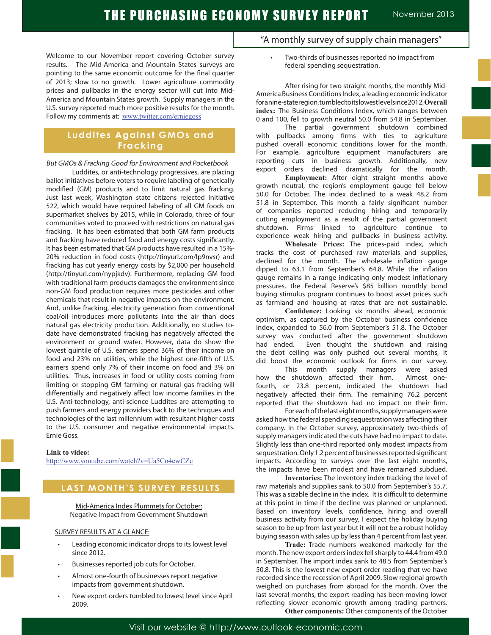Welcome to our November report covering October survey results. The Mid-America and Mountain States surveys are pointing to the same economic outcome for the final quarter of 2013; slow to no growth. Lower agriculture commodity prices and pullbacks in the energy sector will cut into Mid-America and Mountain States growth. Supply managers in the U.S. survey reported much more positive results for the month. Follow my comments at: www.twitter.com/erniegoss

## **Luddites Against GMOs and Fracking**

But GMOs & Fracking Good for Environment and Pocketbook

 Luddites, or anti-technology progressives, are placing ballot initiatives before voters to require labeling of genetically modified (GM) products and to limit natural gas fracking. Just last week, Washington state citizens rejected Initiative 522, which would have required labeling of all GM foods on supermarket shelves by 2015, while in Colorado, three of four communities voted to proceed with restrictions on natural gas fracking. It has been estimated that both GM farm products and fracking have reduced food and energy costs significantly. It has been estimated that GM products have resulted in a 15%- 20% reduction in food costs (http://tinyurl.com/lp9nvsr) and fracking has cut yearly energy costs by \$2,000 per household (http://tinyurl.com/nypjkdv). Furthermore, replacing GM food with traditional farm products damages the environment since non-GM food production requires more pesticides and other chemicals that result in negative impacts on the environment. And, unlike fracking, electricity generation from conventional coal/oil introduces more pollutants into the air than does natural gas electricity production. Additionally, no studies todate have demonstrated fracking has negatively affected the environment or ground water. However, data do show the lowest quintile of U.S. earners spend 36% of their income on food and 23% on utilities, while the highest one-fifth of U.S. earners spend only 7% of their income on food and 3% on utilities. Thus, increases in food or utility costs coming from limiting or stopping GM farming or natural gas fracking will differentially and negatively affect low income families in the U.S. Anti-technology, anti-science Luddites are attempting to push farmers and energy providers back to the techniques and technologies of the last millennium with resultant higher costs to the U.S. consumer and negative environmental impacts. Ernie Goss.

**Link to video:**

http://www.youtube.com/watch?v=Ua5Co4ewCZc

### **LAST MONTH'S SURVEY RESULTS**

Mid-America Index Plummets for October: Negative Impact from Government Shutdown

#### SURVEY RESULTS AT A GLANCE:

- Leading economic indicator drops to its lowest level since 2012.
- Businesses reported job cuts for October.
- Almost one-fourth of businesses report negative impacts from government shutdown.
- New export orders tumbled to lowest level since April 2009.
- "A monthly survey of supply chain managers"
	- Two-thirds of businesses reported no impact from federal spending sequestration.

After rising for two straight months, the monthly Mid-America Business Conditions Index, a leading economic indicator for a nine-state region, tumbled to its lowest level since 2012. **Overall index:** The Business Conditions Index, which ranges between 0 and 100, fell to growth neutral 50.0 from 54.8 in September.

The partial government shutdown combined with pullbacks among firms with ties to agriculture pushed overall economic conditions lower for the month. For example, agriculture equipment manufacturers are reporting cuts in business growth. Additionally, new export orders declined dramatically for the month.

**Employment:** After eight straight months above growth neutral, the region's employment gauge fell below 50.0 for October. The index declined to a weak 48.2 from 51.8 in September. This month a fairly significant number of companies reported reducing hiring and temporarily cutting employment as a result of the partial government shutdown. Firms linked to agriculture continue to experience weak hiring and pullbacks in business activity.

**Wholesale Prices:** The prices-paid index, which tracks the cost of purchased raw materials and supplies, declined for the month. The wholesale inflation gauge dipped to 63.1 from September's 64.8. While the inflation gauge remains in a range indicating only modest inflationary pressures, the Federal Reserve's \$85 billion monthly bond buying stimulus program continues to boost asset prices such as farmland and housing at rates that are not sustainable.

**Confidence:** Looking six months ahead, economic optimism, as captured by the October business confidence index, expanded to 56.0 from September's 51.8. The October survey was conducted after the government shutdown had ended. Even thought the shutdown and raising the debt ceiling was only pushed out several months, it did boost the economic outlook for firms in our survey.

This month supply managers were asked how the shutdown affected their firm. Almost onefourth, or 23.8 percent, indicated the shutdown had negatively affected their firm. The remaining 76.2 percent reported that the shutdown had no impact on their firm.

For each of the last eight months, supply managers were asked how the federal spending sequestration was affecting their company. In the October survey, approximately two-thirds of supply managers indicated the cuts have had no impact to date. Slightly less than one-third reported only modest impacts from sequestration. Only 1.2 percent of businesses reported significant impacts. According to surveys over the last eight months, the impacts have been modest and have remained subdued.

**Inventories:** The inventory index tracking the level of raw materials and supplies sank to 50.0 from September's 55.7. This was a sizable decline in the index. It is difficult to determine at this point in time if the decline was planned or unplanned. Based on inventory levels, confidence, hiring and overall business activity from our survey, I expect the holiday buying season to be up from last year but it will not be a robust holiday buying season with sales up by less than 4 percent from last year.

**Trade:** Trade numbers weakened markedly for the month. The new export orders index fell sharply to 44.4 from 49.0 in September. The import index sank to 48.5 from September's 50.8. This is the lowest new export order reading that we have recorded since the recession of April 2009. Slow regional growth weighed on purchases from abroad for the month. Over the last several months, the export reading has been moving lower reflecting slower economic growth among trading partners. **Other components:** Other components of the October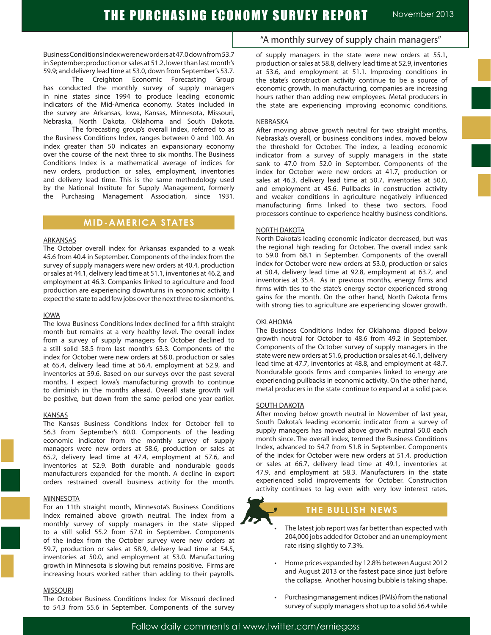Business Conditions Index were new orders at 47.0 down from 53.7 in September; production or sales at 51.2, lower than last month's 59.9; and delivery lead time at 53.0, down from September's 53.7.

The Creighton Economic Forecasting Group has conducted the monthly survey of supply managers in nine states since 1994 to produce leading economic indicators of the Mid-America economy. States included in the survey are Arkansas, Iowa, Kansas, Minnesota, Missouri, Nebraska, North Dakota, Oklahoma and South Dakota.

The forecasting group's overall index, referred to as the Business Conditions Index, ranges between 0 and 100. An index greater than 50 indicates an expansionary economy over the course of the next three to six months. The Business Conditions Index is a mathematical average of indices for new orders, production or sales, employment, inventories and delivery lead time. This is the same methodology used by the National Institute for Supply Management, formerly the Purchasing Management Association, since 1931.

### **MID-AMERICA STATES**

#### ARKANSAS

The October overall index for Arkansas expanded to a weak 45.6 from 40.4 in September. Components of the index from the survey of supply managers were new orders at 40.4, production or sales at 44.1, delivery lead time at 51.1, inventories at 46.2, and employment at 46.3. Companies linked to agriculture and food production are experiencing downturns in economic activity. I expect the state to add few jobs over the next three to six months.

#### IOWA

The Iowa Business Conditions Index declined for a fifth straight month but remains at a very healthy level. The overall index from a survey of supply managers for October declined to a still solid 58.5 from last month's 63.3. Components of the index for October were new orders at 58.0, production or sales at 65.4, delivery lead time at 56.4, employment at 52.9, and inventories at 59.6. Based on our surveys over the past several months, I expect Iowa's manufacturing growth to continue to diminish in the months ahead. Overall state growth will be positive, but down from the same period one year earlier.

#### KANSAS

The Kansas Business Conditions Index for October fell to 56.3 from September's 60.0. Components of the leading economic indicator from the monthly survey of supply managers were new orders at 58.6, production or sales at 65.2, delivery lead time at 47.4, employment at 57.6, and inventories at 52.9. Both durable and nondurable goods manufacturers expanded for the month. A decline in export orders restrained overall business activity for the month.

#### **MINNESOTA**

For an 11th straight month, Minnesota's Business Conditions Index remained above growth neutral. The index from a monthly survey of supply managers in the state slipped to a still solid 55.2 from 57.0 in September. Components of the index from the October survey were new orders at 59.7, production or sales at 58.9, delivery lead time at 54.5, inventories at 50.0, and employment at 53.0. Manufacturing growth in Minnesota is slowing but remains positive. Firms are increasing hours worked rather than adding to their payrolls.

#### MISSOURI

The October Business Conditions Index for Missouri declined to 54.3 from 55.6 in September. Components of the survey

### "A monthly survey of supply chain managers"

of supply managers in the state were new orders at 55.1, production or sales at 58.8, delivery lead time at 52.9, inventories at 53.6, and employment at 51.1. Improving conditions in the state's construction activity continue to be a source of economic growth. In manufacturing, companies are increasing hours rather than adding new employees. Metal producers in the state are experiencing improving economic conditions.

#### **NEBRASKA**

After moving above growth neutral for two straight months, Nebraska's overall, or business conditions index, moved below the threshold for October. The index, a leading economic indicator from a survey of supply managers in the state sank to 47.0 from 52.0 in September. Components of the index for October were new orders at 41.7, production or sales at 46.3, delivery lead time at 50.7, inventories at 50.0, and employment at 45.6. Pullbacks in construction activity and weaker conditions in agriculture negatively influenced manufacturing firms linked to these two sectors. Food processors continue to experience healthy business conditions.

#### NORTH DAKOTA

North Dakota's leading economic indicator decreased, but was the regional high reading for October. The overall index sank to 59.0 from 68.1 in September. Components of the overall index for October were new orders at 53.0, production or sales at 50.4, delivery lead time at 92.8, employment at 63.7, and inventories at 35.4. As in previous months, energy firms and firms with ties to the state's energy sector experienced strong gains for the month. On the other hand, North Dakota firms with strong ties to agriculture are experiencing slower growth.

#### OKLAHOMA

The Business Conditions Index for Oklahoma dipped below growth neutral for October to 48.6 from 49.2 in September. Components of the October survey of supply managers in the state were new orders at 51.6, production or sales at 46.1, delivery lead time at 47.7, inventories at 48.8, and employment at 48.7. Nondurable goods firms and companies linked to energy are experiencing pullbacks in economic activity. On the other hand, metal producers in the state continue to expand at a solid pace.

#### **SOUTH DAKOTA**

After moving below growth neutral in November of last year, South Dakota's leading economic indicator from a survey of supply managers has moved above growth neutral 50.0 each month since. The overall index, termed the Business Conditions Index, advanced to 54.7 from 51.8 in September. Components of the index for October were new orders at 51.4, production or sales at 66.7, delivery lead time at 49.1, inventories at 47.9, and employment at 58.3. Manufacturers in the state experienced solid improvements for October. Construction activity continues to lag even with very low interest rates.



### **THE BULLISH NEWS**

The latest job report was far better than expected with 204,000 jobs added for October and an unemployment rate rising slightly to 7.3%.

- Home prices expanded by 12.8% between August 2012 and August 2013 or the fastest pace since just before the collapse. Another housing bubble is taking shape.
- Purchasing management indices (PMIs) from the national survey of supply managers shot up to a solid 56.4 while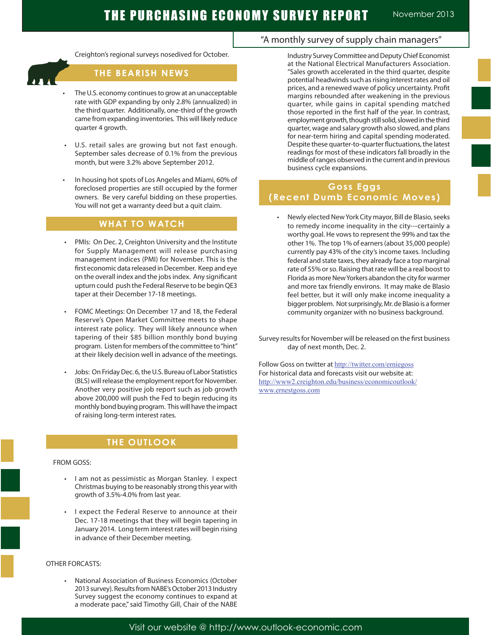

Ï

Creighton's regional surveys nosedived for October.

### **THE BEARISH NEWS**

- The U.S. economy continues to grow at an unacceptable rate with GDP expanding by only 2.8% (annualized) in the third quarter. Additionally, one-third of the growth came from expanding inventories. This will likely reduce quarter 4 growth.
- U.S. retail sales are growing but not fast enough. September sales decrease of 0.1% from the previous month, but were 3.2% above September 2012.
- In housing hot spots of Los Angeles and Miami, 60% of foreclosed properties are still occupied by the former owners. Be very careful bidding on these properties. You will not get a warranty deed but a quit claim.

# **WHAT TO WATCH**

- PMIs: On Dec. 2, Creighton University and the Institute for Supply Management will release purchasing management indices (PMI) for November. This is the first economic data released in December. Keep and eye on the overall index and the jobs index. Any significant upturn could push the Federal Reserve to be begin QE3 taper at their December 17-18 meetings.
- FOMC Meetings: On December 17 and 18, the Federal Reserve's Open Market Committee meets to shape interest rate policy. They will likely announce when tapering of their \$85 billion monthly bond buying program. Listen for members of the committee to "hint" at their likely decision well in advance of the meetings.
- Jobs: On Friday Dec. 6, the U.S. Bureau of Labor Statistics (BLS) will release the employment report for November. Another very positive job report such as job growth above 200,000 will push the Fed to begin reducing its monthly bond buying program. This will have the impact of raising long-term interest rates.

# **THE OUTLOOK**

### FROM GOSS:

- I am not as pessimistic as Morgan Stanley. I expect Christmas buying to be reasonably strong this year with growth of 3.5%-4.0% from last year.
- I expect the Federal Reserve to announce at their Dec. 17-18 meetings that they will begin tapering in January 2014. Long term interest rates will begin rising in advance of their December meeting.

### OTHER FORCASTS:

National Association of Business Economics (October 2013 survey). Results from NABE's October 2013 Industry Survey suggest the economy continues to expand at a moderate pace," said Timothy Gill, Chair of the NABE

## "A monthly survey of supply chain managers"

Industry Survey Committee and Deputy Chief Economist at the National Electrical Manufacturers Association. "Sales growth accelerated in the third quarter, despite potential headwinds such as rising interest rates and oil prices, and a renewed wave of policy uncertainty. Profit margins rebounded after weakening in the previous quarter, while gains in capital spending matched those reported in the first half of the year. In contrast, employment growth, though still solid, slowed in the third quarter, wage and salary growth also slowed, and plans for near-term hiring and capital spending moderated. Despite these quarter-to-quarter fluctuations, the latest readings for most of these indicators fall broadly in the middle of ranges observed in the current and in previous business cycle expansions.

### **Goss Eggs (Recent Dumb Economic Moves)**

• Newly elected New York City mayor, Bill de Blasio, seeks to remedy income inequality in the city---certainly a worthy goal. He vows to represent the 99% and tax the other 1%. The top 1% of earners (about 35,000 people) currently pay 43% of the city's income taxes. Including federal and state taxes, they already face a top marginal rate of 55% or so. Raising that rate will be a real boost to Florida as more New Yorkers abandon the city for warmer and more tax friendly environs. It may make de Blasio feel better, but it will only make income inequality a bigger problem. Not surprisingly, Mr. de Blasio is a former community organizer with no business background.

Survey results for November will be released on the first business day of next month, Dec. 2.

Follow Goss on twitter at http://twitter.com/erniegoss For historical data and forecasts visit our website at: http://www2.creighton.edu/business/economicoutlook/ www.ernestgoss.com